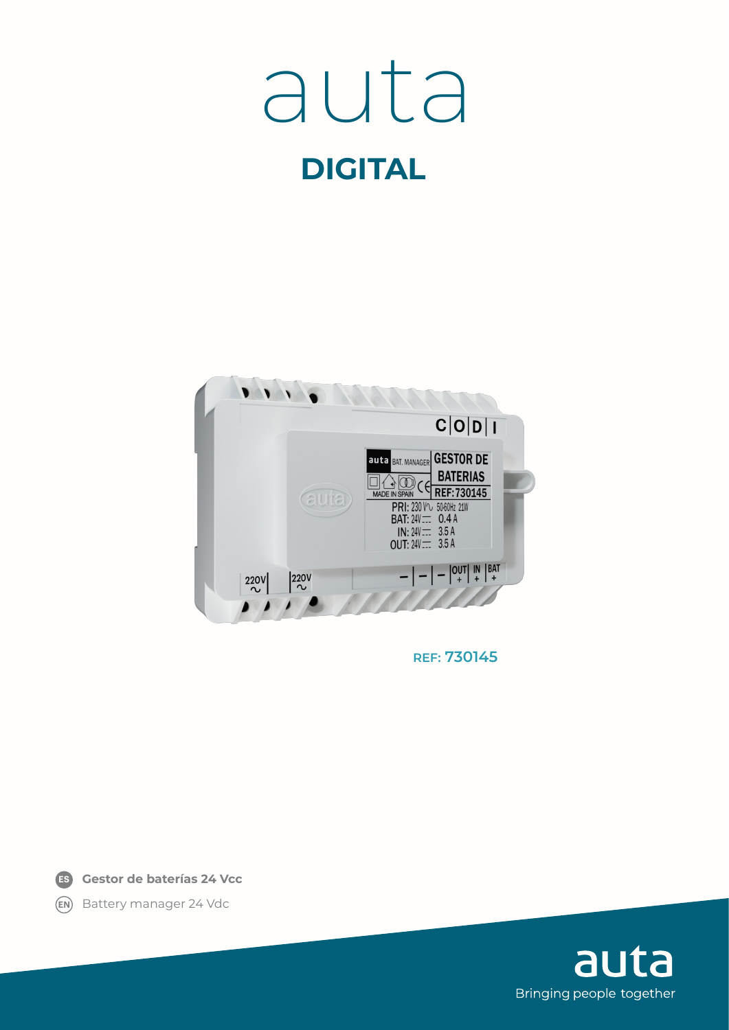## **DIGITAL** auta



**REF: 730145**

**Gestor de baterías 24 Vcc ES**

**EN** Battery manager 24 Vdc